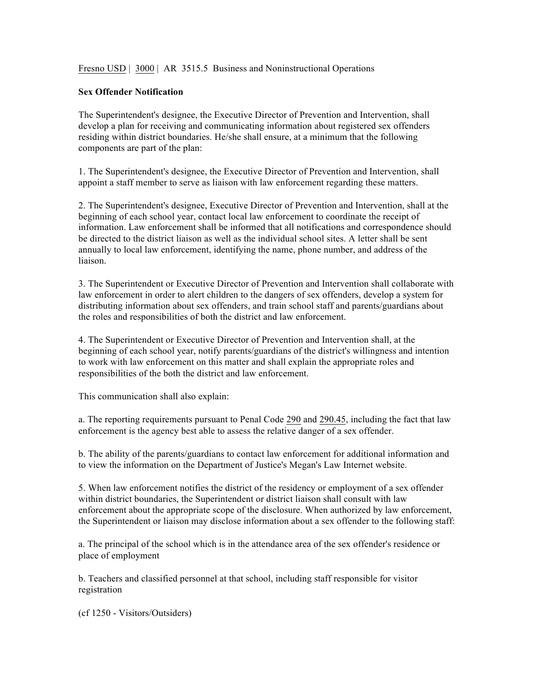Fresno USD | 3000 | AR 3515.5 Business and Noninstructional Operations

## **Sex Offender Notification**

The Superintendent's designee, the Executive Director of Prevention and Intervention, shall develop a plan for receiving and communicating information about registered sex offenders residing within district boundaries. He/she shall ensure, at a minimum that the following components are part of the plan:

1. The Superintendent's designee, the Executive Director of Prevention and Intervention, shall appoint a staff member to serve as liaison with law enforcement regarding these matters.

2. The Superintendent's designee, Executive Director of Prevention and Intervention, shall at the beginning of each school year, contact local law enforcement to coordinate the receipt of information. Law enforcement shall be informed that all notifications and correspondence should be directed to the district liaison as well as the individual school sites. A letter shall be sent annually to local law enforcement, identifying the name, phone number, and address of the liaison.

3. The Superintendent or Executive Director of Prevention and Intervention shall collaborate with law enforcement in order to alert children to the dangers of sex offenders, develop a system for distributing information about sex offenders, and train school staff and parents/guardians about the roles and responsibilities of both the district and law enforcement.

4. The Superintendent or Executive Director of Prevention and Intervention shall, at the beginning of each school year, notify parents/guardians of the district's willingness and intention to work with law enforcement on this matter and shall explain the appropriate roles and responsibilities of the both the district and law enforcement.

This communication shall also explain:

a. The reporting requirements pursuant to Penal Code 290 and 290.45, including the fact that law enforcement is the agency best able to assess the relative danger of a sex offender.

b. The ability of the parents/guardians to contact law enforcement for additional information and to view the information on the Department of Justice's Megan's Law Internet website.

5. When law enforcement notifies the district of the residency or employment of a sex offender within district boundaries, the Superintendent or district liaison shall consult with law enforcement about the appropriate scope of the disclosure. When authorized by law enforcement, the Superintendent or liaison may disclose information about a sex offender to the following staff:

a. The principal of the school which is in the attendance area of the sex offender's residence or place of employment

b. Teachers and classified personnel at that school, including staff responsible for visitor registration

(cf 1250 - Visitors/Outsiders)